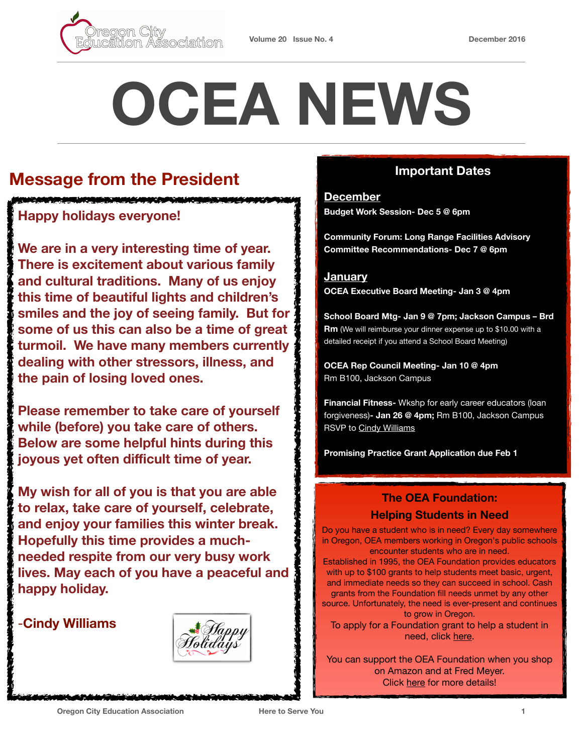

# **OCEA NEWS**

# **Message from the President**

### **Happy holidays everyone!**

**We are in a very interesting time of year. There is excitement about various family and cultural traditions. Many of us enjoy this time of beautiful lights and children's smiles and the joy of seeing family. But for some of us this can also be a time of great turmoil. We have many members currently dealing with other stressors, illness, and the pain of losing loved ones.** 

**Please remember to take care of yourself while (before) you take care of others. Below are some helpful hints during this joyous yet often difficult time of year.** 

**My wish for all of you is that you are able to relax, take care of yourself, celebrate, and enjoy your families this winter break. Hopefully this time provides a muchneeded respite from our very busy work lives. May each of you have a peaceful and happy holiday.** 

-**Cindy Williams**



### **Important Dates**

**December Budget Work Session- Dec 5 @ 6pm** 

**Community Forum: Long Range Facilities Advisory Committee Recommendations- Dec 7 @ 6pm** 

**January OCEA Executive Board Meeting- Jan 3 @ 4pm**

**School Board Mtg- Jan 9 @ 7pm; Jackson Campus – Brd Rm** (We will reimburse your dinner expense up to \$10.00 with a detailed receipt if you attend a School Board Meeting)

**OCEA Rep Council Meeting- Jan 10 @ 4pm** Rm B100, Jackson Campus

**Financial Fitness-** Wkshp for early career educators (loan forgiveness)**- Jan 26 @ 4pm;** Rm B100, Jackson Campus RSVP to [Cindy Williams](mailto:cindy.williams@orecity.k12.or.us?subject=Financial%20Fitness%20RSVP)

**Promising Practice Grant Application due Feb 1**

# **The OEA Foundation:**

### **Helping Students in Need**

Do you have a student who is in need? Every day somewhere in Oregon, OEA members working in Oregon's public schools encounter students who are in need.

Established in 1995, the OEA Foundation provides educators with up to \$100 grants to help students meet basic, urgent, and immediate needs so they can succeed in school. Cash grants from the Foundation fill needs unmet by any other source. Unfortunately, the need is ever-present and continues to grow in Oregon.

To apply for a Foundation grant to help a student in need, click [here.](http://www.oregoned.org/oea-foundation/apply-for-a-grant)

You can support the OEA Foundation when you shop on Amazon and at Fred Meyer. Click [here](http://www.orecityea.org/in-the-news) for more details!